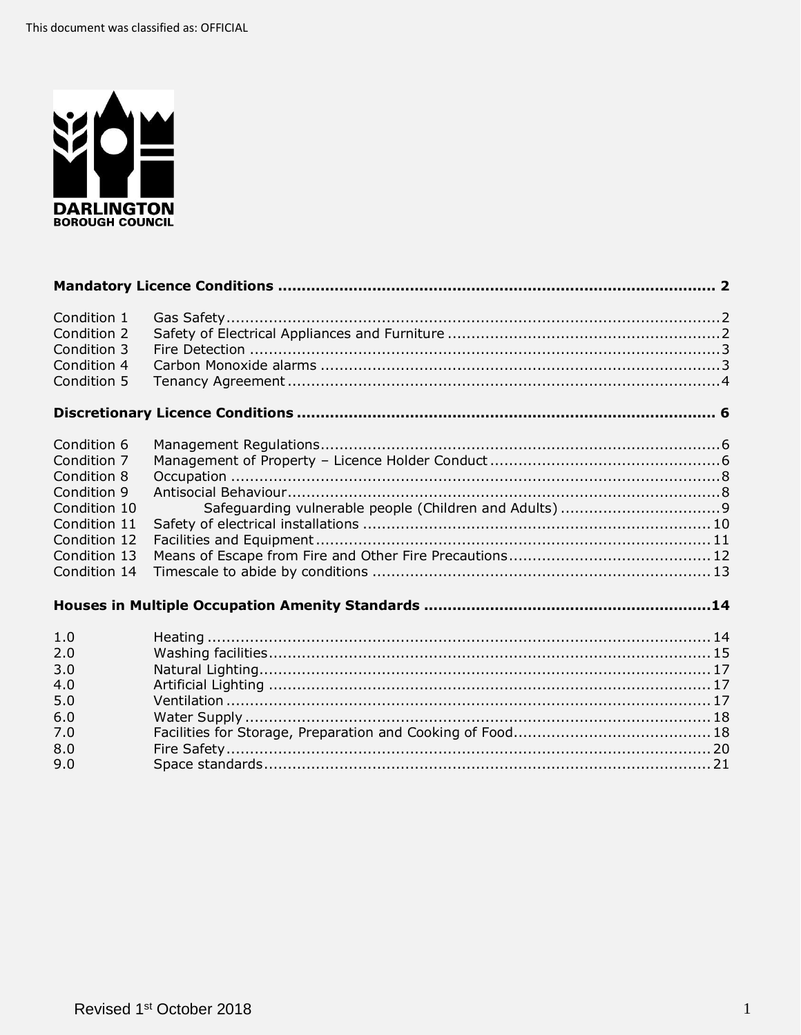

| Condition 1  |  |
|--------------|--|
| Condition 2  |  |
| Condition 3  |  |
| Condition 4  |  |
| Condition 5  |  |
|              |  |
|              |  |
| Condition 6  |  |
| Condition 7  |  |
| Condition 8  |  |
| Condition 9  |  |
| Condition 10 |  |
| Condition 11 |  |
| Condition 12 |  |
| Condition 13 |  |
| Condition 14 |  |
|              |  |
|              |  |
|              |  |
| 1.0          |  |
| 2.0          |  |
| 3.0          |  |
| 4.0          |  |
| 5.0          |  |
| 6.0          |  |
| 7.0          |  |
| 8.0          |  |
| 9.0          |  |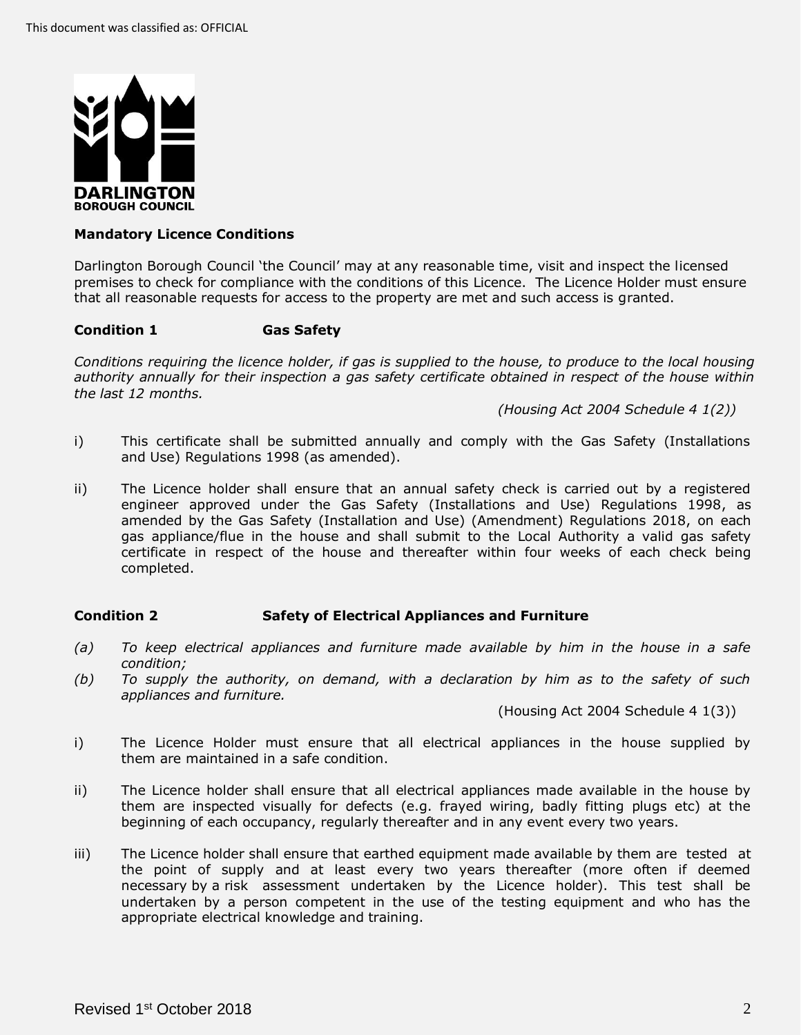

# <span id="page-1-0"></span>**Mandatory Licence Conditions**

 Darlington Borough Council 'the Council' may at any reasonable time, visit and inspect the licensed premises to check for compliance with the conditions of this Licence. The Licence Holder must ensure that all reasonable requests for access to the property are met and such access is granted.

# <span id="page-1-1"></span>**Condition 1 Gas Safety**

 *Conditions requiring the licence holder, if gas is supplied to the house, to produce to the local housing authority annually for their inspection a gas safety certificate obtained in respect of the house within the last 12 months.* 

 *(Housing Act 2004 Schedule 4 1(2))* 

- i) This certificate shall be submitted annually and comply with the Gas Safety (Installations and Use) Regulations 1998 (as amended).
- ii) The Licence holder shall ensure that an annual safety check is carried out by a registered engineer approved under the Gas Safety (Installations and Use) Regulations 1998, as amended by the Gas Safety (Installation and Use) (Amendment) Regulations 2018, on each gas appliance/flue in the house and shall submit to the Local Authority a valid gas safety certificate in respect of the house and thereafter within four weeks of each check being completed.

# <span id="page-1-2"></span> **Condition 2 Safety of Electrical Appliances and Furniture**

- *(a) To keep electrical appliances and furniture made available by him in the house in a safe condition;*
- *(b) To supply the authority, on demand, with a declaration by him as to the safety of such appliances and furniture.*

(Housing Act 2004 Schedule 4 1(3))

- i) The Licence Holder must ensure that all electrical appliances in the house supplied by them are maintained in a safe condition.
- ii) The Licence holder shall ensure that all electrical appliances made available in the house by them are inspected visually for defects (e.g. frayed wiring, badly fitting plugs etc) at the beginning of each occupancy, regularly thereafter and in any event every two years.
- iii) The Licence holder shall ensure that earthed equipment made available by them are tested at the point of supply and at least every two years thereafter (more often if deemed necessary by a risk assessment undertaken by the Licence holder). This test shall be undertaken by a person competent in the use of the testing equipment and who has the appropriate electrical knowledge and training.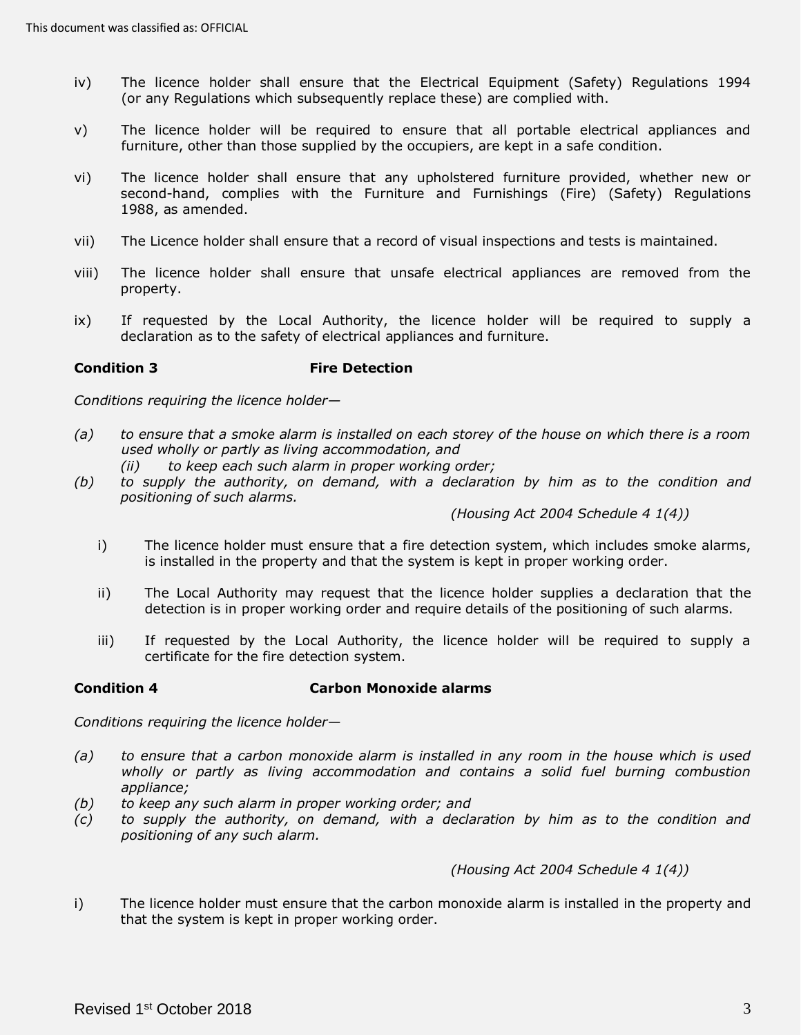- iv) The licence holder shall ensure that the Electrical Equipment (Safety) Regulations 1994 (or any Regulations which subsequently replace these) are complied with.
- v) The licence holder will be required to ensure that all portable electrical appliances and furniture, other than those supplied by the occupiers, are kept in a safe condition.
- vi) The licence holder shall ensure that any upholstered furniture provided, whether new or second-hand, complies with the Furniture and Furnishings (Fire) (Safety) Regulations 1988, as amended.
- vii) The Licence holder shall ensure that a record of visual inspections and tests is maintained.
- viii) The licence holder shall ensure that unsafe electrical appliances are removed from the property.
- ix) If requested by the Local Authority, the licence holder will be required to supply a declaration as to the safety of electrical appliances and furniture.

# <span id="page-2-0"></span>**Condition 3** Fire Detection

*Conditions requiring the licence holder—*

- *(a) to ensure that a smoke alarm is installed on each storey of the house on which there is a room used wholly or partly as living accommodation, and* 
	- *(ii) to keep each such alarm in proper working order;*
- (b) to supply the authority, on demand, with a declaration by him as to the condition and  *positioning of such alarms.*

 *(Housing Act 2004 Schedule 4 1(4))* 

- i) The licence holder must ensure that a fire detection system, which includes smoke alarms, is installed in the property and that the system is kept in proper working order.
- ii) The Local Authority may request that the licence holder supplies a declaration that the detection is in proper working order and require details of the positioning of such alarms.
- iii) If requested by the Local Authority, the licence holder will be required to supply a certificate for the fire detection system.

## <span id="page-2-1"></span>**Condition 4 Carbon Monoxide alarms**

*Conditions requiring the licence holder—*

- *(a) to ensure that a carbon monoxide alarm is installed in any room in the house which is used*  wholly or partly as living accommodation and contains a solid fuel burning combustion *appliance;*
- *(b) to keep any such alarm in proper working order; and*
- *(c) to supply the authority, on demand, with a declaration by him as to the condition and positioning of any such alarm.*

 *(Housing Act 2004 Schedule 4 1(4))* 

 i) The licence holder must ensure that the carbon monoxide alarm is installed in the property and that the system is kept in proper working order.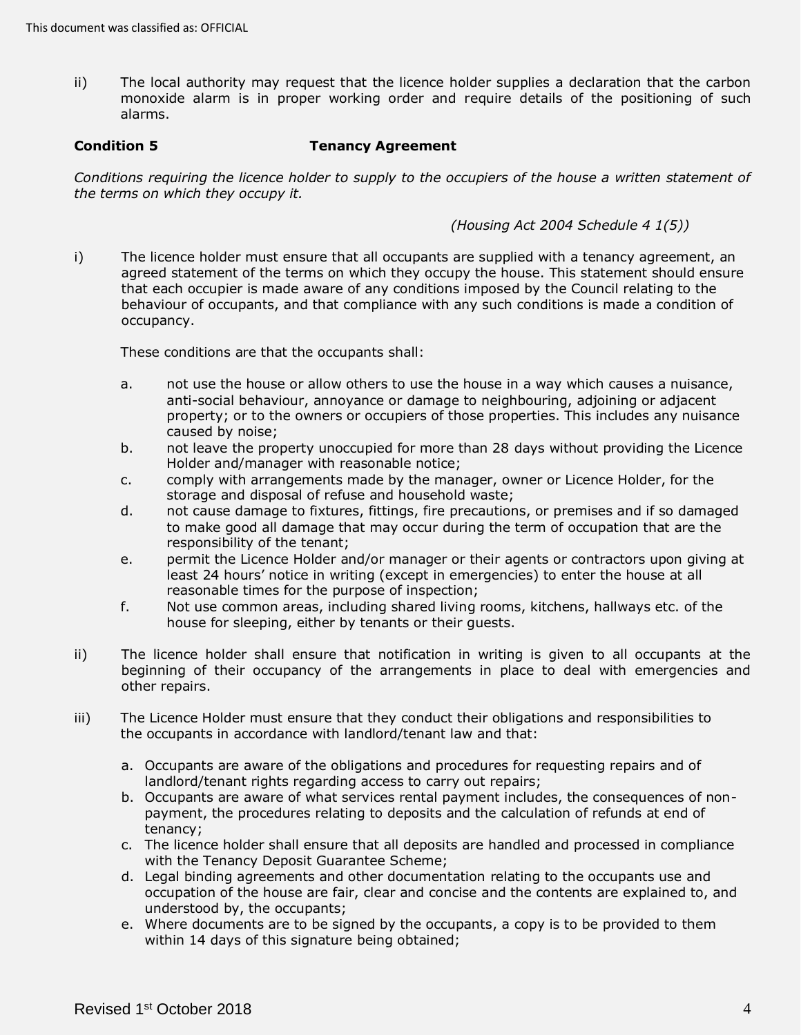ii) The local authority may request that the licence holder supplies a declaration that the carbon monoxide alarm is in proper working order and require details of the positioning of such alarms.

## <span id="page-3-0"></span>**Condition 5 Tenancy Agreement**

 *Conditions requiring the licence holder to supply to the occupiers of the house a written statement of the terms on which they occupy it.* 

 *(Housing Act 2004 Schedule 4 1(5))* 

 i) The licence holder must ensure that all occupants are supplied with a tenancy agreement, an agreed statement of the terms on which they occupy the house. This statement should ensure that each occupier is made aware of any conditions imposed by the Council relating to the behaviour of occupants, and that compliance with any such conditions is made a condition of occupancy.

These conditions are that the occupants shall:

- a. not use the house or allow others to use the house in a way which causes a nuisance, anti-social behaviour, annoyance or damage to neighbouring, adjoining or adjacent property; or to the owners or occupiers of those properties. This includes any nuisance caused by noise;
- b. not leave the property unoccupied for more than 28 days without providing the Licence Holder and/manager with reasonable notice;
- c. comply with arrangements made by the manager, owner or Licence Holder, for the storage and disposal of refuse and household waste;
- d. not cause damage to fixtures, fittings, fire precautions, or premises and if so damaged to make good all damage that may occur during the term of occupation that are the responsibility of the tenant;
- e. permit the Licence Holder and/or manager or their agents or contractors upon giving at least 24 hours' notice in writing (except in emergencies) to enter the house at all reasonable times for the purpose of inspection;
- f. Not use common areas, including shared living rooms, kitchens, hallways etc. of the house for sleeping, either by tenants or their guests.
- ii) The licence holder shall ensure that notification in writing is given to all occupants at the beginning of their occupancy of the arrangements in place to deal with emergencies and other repairs.
- iii) The Licence Holder must ensure that they conduct their obligations and responsibilities to the occupants in accordance with landlord/tenant law and that:
	- a. Occupants are aware of the obligations and procedures for requesting repairs and of landlord/tenant rights regarding access to carry out repairs;
	- b. Occupants are aware of what services rental payment includes, the consequences of non- payment, the procedures relating to deposits and the calculation of refunds at end of tenancy;
	- c. The licence holder shall ensure that all deposits are handled and processed in compliance with the Tenancy Deposit Guarantee Scheme;
	- d. Legal binding agreements and other documentation relating to the occupants use and occupation of the house are fair, clear and concise and the contents are explained to, and understood by, the occupants;
	- e. Where documents are to be signed by the occupants, a copy is to be provided to them within 14 days of this signature being obtained;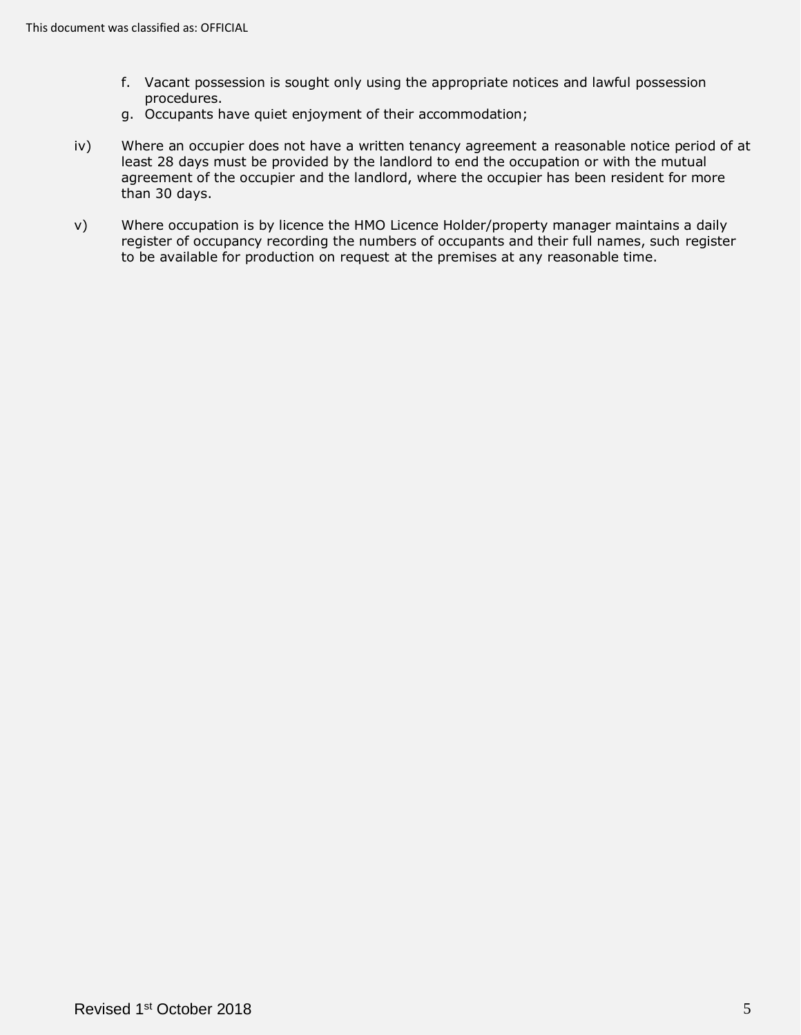- f. Vacant possession is sought only using the appropriate notices and lawful possession procedures.
- g. Occupants have quiet enjoyment of their accommodation;
- iv) Where an occupier does not have a written tenancy agreement a reasonable notice period of at least 28 days must be provided by the landlord to end the occupation or with the mutual agreement of the occupier and the landlord, where the occupier has been resident for more than 30 days.
- v) Where occupation is by licence the HMO Licence Holder/property manager maintains a daily register of occupancy recording the numbers of occupants and their full names, such register to be available for production on request at the premises at any reasonable time.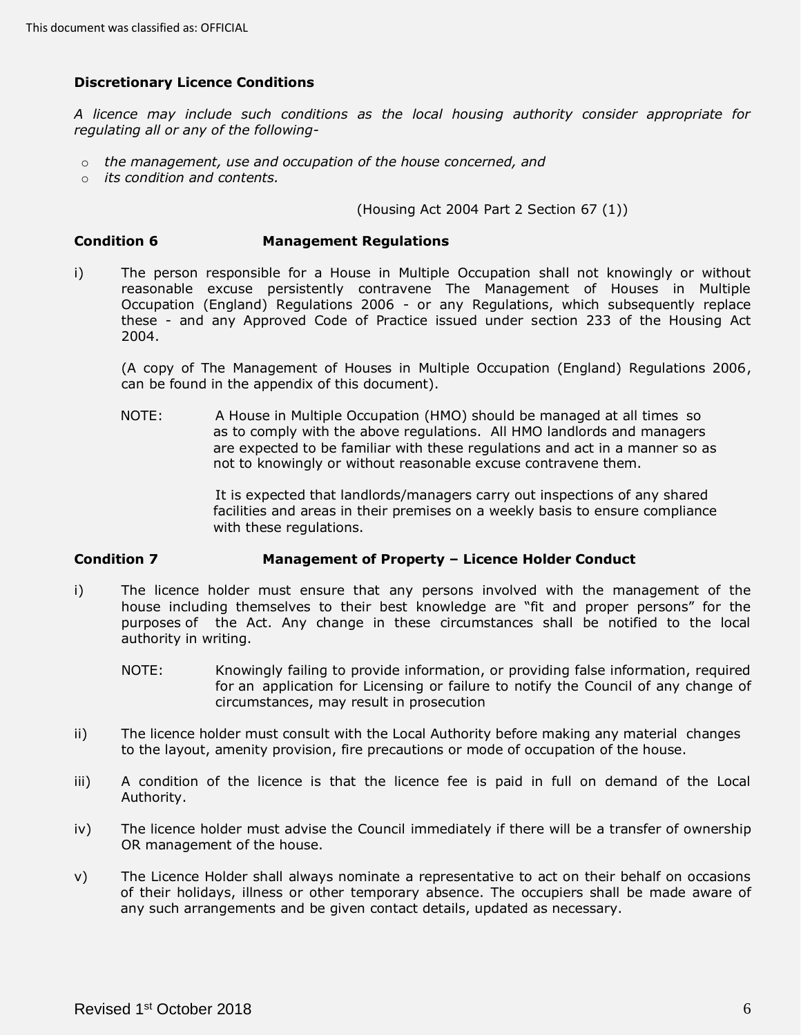# <span id="page-5-0"></span>**Discretionary Licence Conditions**

 *A licence may include such conditions as the local housing authority consider appropriate for regulating all or any of the following-*

- o *the management, use and occupation of the house concerned, and*
- o *its condition and contents.*

(Housing Act 2004 Part 2 Section 67 (1))

## <span id="page-5-1"></span>**Condition 6 Management Regulations**

 i) The person responsible for a House in Multiple Occupation shall not knowingly or without reasonable excuse persistently contravene The Management of Houses in Multiple Occupation (England) Regulations 2006 - or any Regulations, which subsequently replace these - and any Approved Code of Practice issued under section 233 of the Housing Act 2004.

 (A copy of The Management of Houses in Multiple Occupation (England) Regulations 2006, can be found in the appendix of this document).

 NOTE: A House in Multiple Occupation (HMO) should be managed at all times so as to comply with the above regulations. All HMO landlords and managers are expected to be familiar with these regulations and act in a manner so as not to knowingly or without reasonable excuse contravene them.

> It is expected that landlords/managers carry out inspections of any shared facilities and areas in their premises on a weekly basis to ensure compliance with these regulations.

## <span id="page-5-2"></span> **Condition 7 Management of Property – Licence Holder Conduct**

- i) The licence holder must ensure that any persons involved with the management of the house including themselves to their best knowledge are "fit and proper persons" for the purposes of the Act. Any change in these circumstances shall be notified to the local authority in writing.
	- NOTE: Knowingly failing to provide information, or providing false information, required for an application for Licensing or failure to notify the Council of any change of circumstances, may result in prosecution
- ii) The licence holder must consult with the Local Authority before making any material changes to the layout, amenity provision, fire precautions or mode of occupation of the house.
- iii) A condition of the licence is that the licence fee is paid in full on demand of the Local Authority.
- iv) The licence holder must advise the Council immediately if there will be a transfer of ownership OR management of the house.
- v) The Licence Holder shall always nominate a representative to act on their behalf on occasions of their holidays, illness or other temporary absence. The occupiers shall be made aware of any such arrangements and be given contact details, updated as necessary.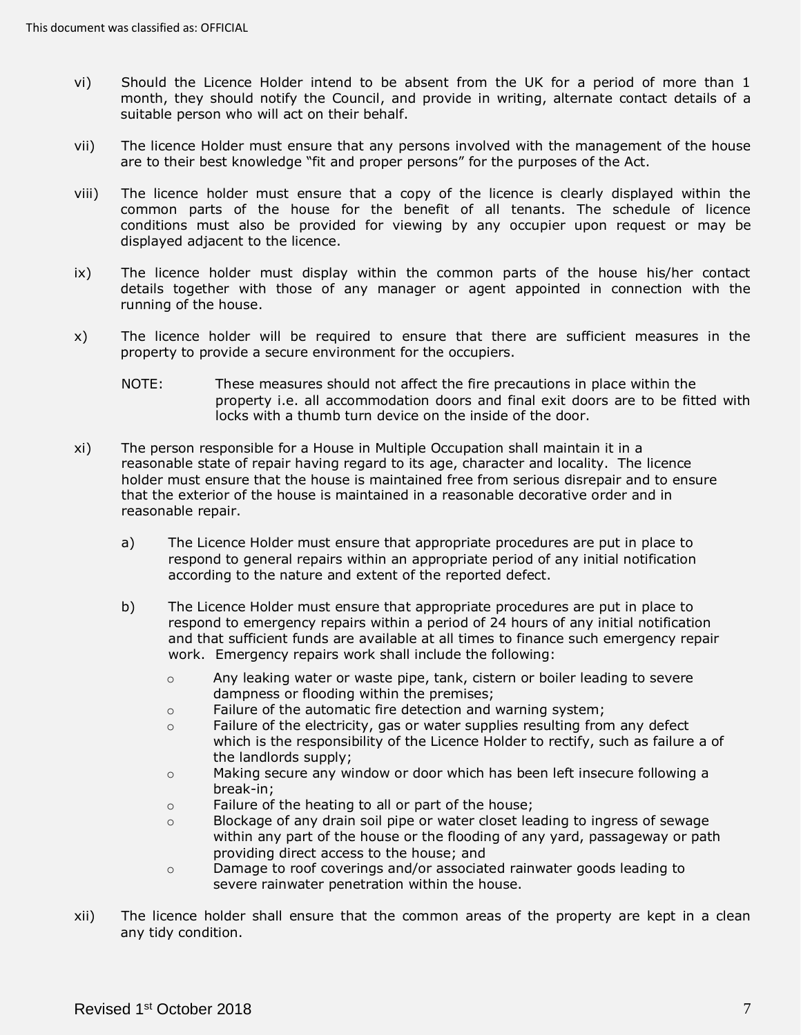- vi) Should the Licence Holder intend to be absent from the UK for a period of more than 1 month, they should notify the Council, and provide in writing, alternate contact details of a suitable person who will act on their behalf.
- vii) The licence Holder must ensure that any persons involved with the management of the house are to their best knowledge "fit and proper persons" for the purposes of the Act.
- viii) The licence holder must ensure that a copy of the licence is clearly displayed within the common parts of the house for the benefit of all tenants. The schedule of licence conditions must also be provided for viewing by any occupier upon request or may be displayed adjacent to the licence.
- ix) The licence holder must display within the common parts of the house his/her contact details together with those of any manager or agent appointed in connection with the running of the house.
- x) The licence holder will be required to ensure that there are sufficient measures in the property to provide a secure environment for the occupiers.
	- NOTE: These measures should not affect the fire precautions in place within the property i.e. all accommodation doors and final exit doors are to be fitted with locks with a thumb turn device on the inside of the door.
- xi) The person responsible for a House in Multiple Occupation shall maintain it in a reasonable state of repair having regard to its age, character and locality. The licence holder must ensure that the house is maintained free from serious disrepair and to ensure that the exterior of the house is maintained in a reasonable decorative order and in reasonable repair.
	- a) The Licence Holder must ensure that appropriate procedures are put in place to respond to general repairs within an appropriate period of any initial notification according to the nature and extent of the reported defect.
	- b) The Licence Holder must ensure that appropriate procedures are put in place to respond to emergency repairs within a period of 24 hours of any initial notification and that sufficient funds are available at all times to finance such emergency repair work. Emergency repairs work shall include the following:
		- $\circ$  Any leaking water or waste pipe, tank, cistern or boiler leading to severe dampness or flooding within the premises;
		- o Failure of the automatic fire detection and warning system;
		- $\circ$  Failure of the electricity, gas or water supplies resulting from any defect which is the responsibility of the Licence Holder to rectify, such as failure a of the landlords supply;
		- o Making secure any window or door which has been left insecure following a break-in;
		- o Failure of the heating to all or part of the house;
		- $\circ$  Blockage of any drain soil pipe or water closet leading to ingress of sewage within any part of the house or the flooding of any yard, passageway or path providing direct access to the house; and
		- o Damage to roof coverings and/or associated rainwater goods leading to severe rainwater penetration within the house.
- xii) The licence holder shall ensure that the common areas of the property are kept in a clean any tidy condition.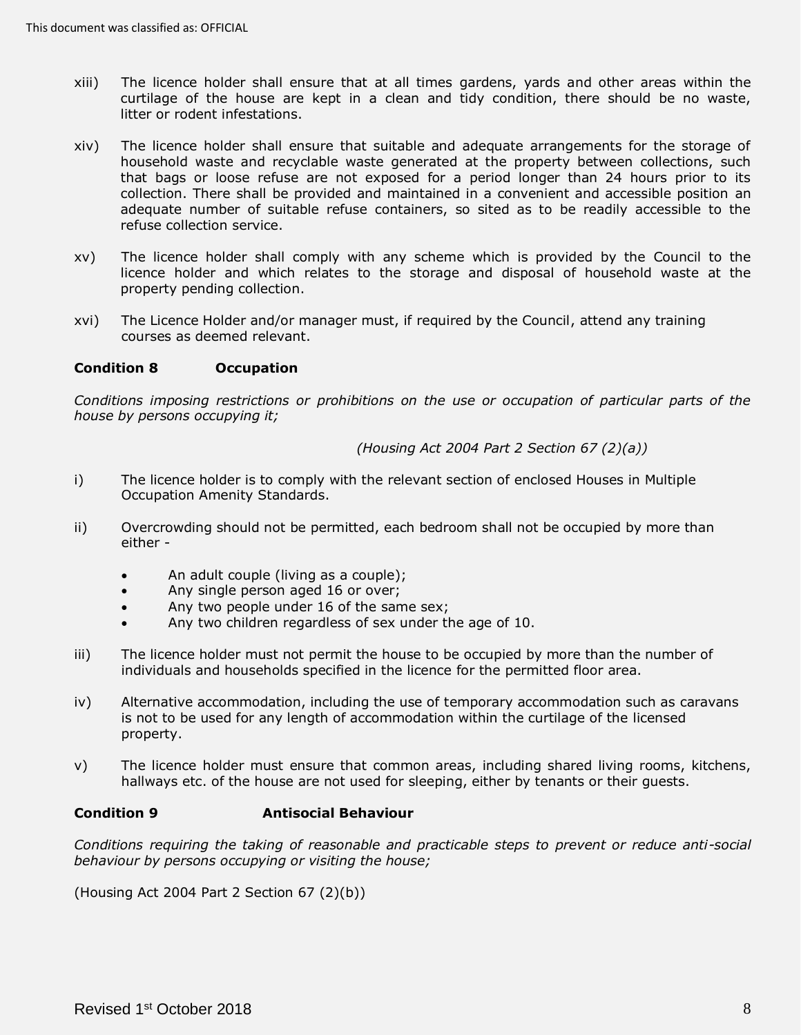- xiii) The licence holder shall ensure that at all times gardens, yards and other areas within the curtilage of the house are kept in a clean and tidy condition, there should be no waste, litter or rodent infestations.
- xiv) The licence holder shall ensure that suitable and adequate arrangements for the storage of household waste and recyclable waste generated at the property between collections, such that bags or loose refuse are not exposed for a period longer than 24 hours prior to its collection. There shall be provided and maintained in a convenient and accessible position an adequate number of suitable refuse containers, so sited as to be readily accessible to the refuse collection service.
- xv) The licence holder shall comply with any scheme which is provided by the Council to the licence holder and which relates to the storage and disposal of household waste at the property pending collection.
- xvi) The Licence Holder and/or manager must, if required by the Council, attend any training courses as deemed relevant.

## <span id="page-7-0"></span>**Condition 8 Occupation**

 *Conditions imposing restrictions or prohibitions on the use or occupation of particular parts of the house by persons occupying it;* 

### *(Housing Act 2004 Part 2 Section 67 (2)(a))*

- i) The licence holder is to comply with the relevant section of enclosed Houses in Multiple Occupation Amenity Standards.
- ii) Overcrowding should not be permitted, each bedroom shall not be occupied by more than either -
	- An adult couple (living as a couple);
	- Any single person aged 16 or over;
	- Any two people under 16 of the same sex;
	- Any two children regardless of sex under the age of 10.
- iii) The licence holder must not permit the house to be occupied by more than the number of individuals and households specified in the licence for the permitted floor area.
- iv) Alternative accommodation, including the use of temporary accommodation such as caravans is not to be used for any length of accommodation within the curtilage of the licensed property.
- v) The licence holder must ensure that common areas, including shared living rooms, kitchens, hallways etc. of the house are not used for sleeping, either by tenants or their guests.

## <span id="page-7-1"></span>**Condition 9 Antisocial Behaviour**

 *Conditions requiring the taking of reasonable and practicable steps to prevent or reduce anti-social behaviour by persons occupying or visiting the house;* 

(Housing Act 2004 Part 2 Section 67 (2)(b))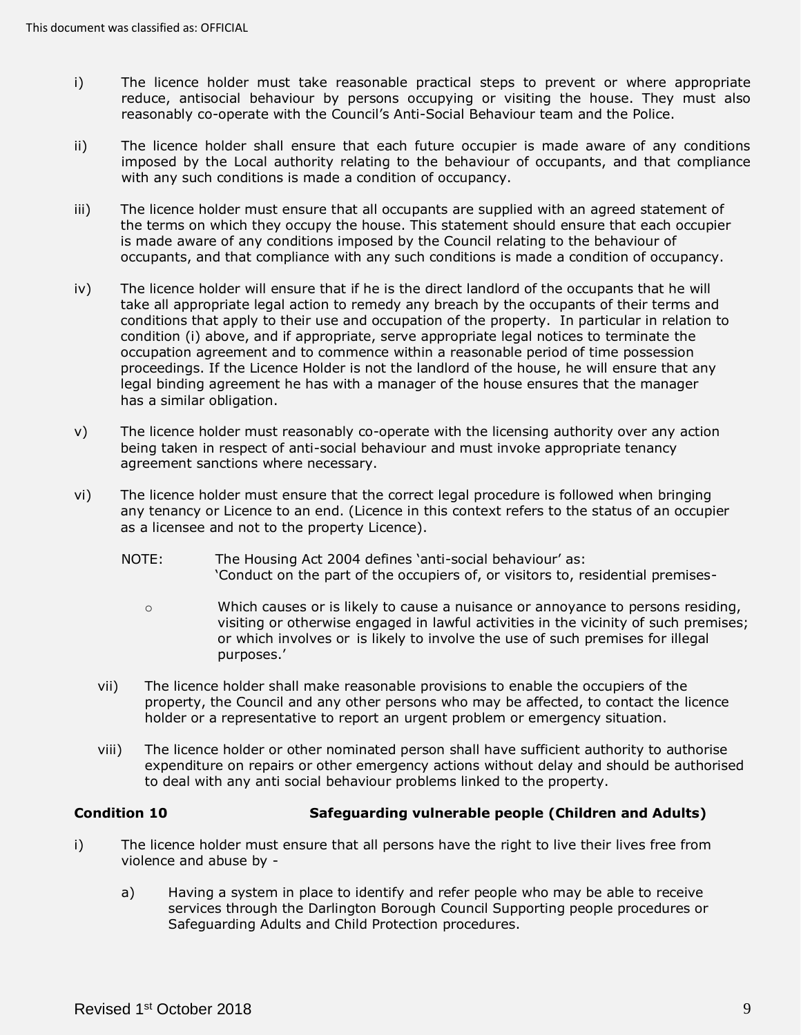- i) The licence holder must take reasonable practical steps to prevent or where appropriate reduce, antisocial behaviour by persons occupying or visiting the house. They must also reasonably co-operate with the Council's Anti-Social Behaviour team and the Police.
- ii) The licence holder shall ensure that each future occupier is made aware of any conditions imposed by the Local authority relating to the behaviour of occupants, and that compliance with any such conditions is made a condition of occupancy.
- iii) The licence holder must ensure that all occupants are supplied with an agreed statement of the terms on which they occupy the house. This statement should ensure that each occupier is made aware of any conditions imposed by the Council relating to the behaviour of occupants, and that compliance with any such conditions is made a condition of occupancy.
- iv) The licence holder will ensure that if he is the direct landlord of the occupants that he will take all appropriate legal action to remedy any breach by the occupants of their terms and conditions that apply to their use and occupation of the property. In particular in relation to condition (i) above, and if appropriate, serve appropriate legal notices to terminate the occupation agreement and to commence within a reasonable period of time possession proceedings. If the Licence Holder is not the landlord of the house, he will ensure that any legal binding agreement he has with a manager of the house ensures that the manager has a similar obligation.
- v) The licence holder must reasonably co-operate with the licensing authority over any action being taken in respect of anti-social behaviour and must invoke appropriate tenancy agreement sanctions where necessary.
- agreement sanctions where necessary.<br>vi) The licence holder must ensure that the correct legal procedure is followed when bringing any tenancy or Licence to an end. (Licence in this context refers to the status of an occupier as a licensee and not to the property Licence).
	- NOTE: The Housing Act 2004 defines 'anti-social behaviour' as: 'Conduct on the part of the occupiers of, or visitors to, residential premises-
		- o Which causes or is likely to cause a nuisance or annoyance to persons residing, visiting or otherwise engaged in lawful activities in the vicinity of such premises; or which involves or is likely to involve the use of such premises for illegal purposes.'
	- vii) The licence holder shall make reasonable provisions to enable the occupiers of the property, the Council and any other persons who may be affected, to contact the licence holder or a representative to report an urgent problem or emergency situation.
	- viii) The licence holder or other nominated person shall have sufficient authority to authorise expenditure on repairs or other emergency actions without delay and should be authorised to deal with any anti social behaviour problems linked to the property.

#### <span id="page-8-0"></span>**Condition 10 Safeguarding vulnerable people (Children and Adults)**

- i) The licence holder must ensure that all persons have the right to live their lives free from violence and abuse by -
	- a) Having a system in place to identify and refer people who may be able to receive services through the Darlington Borough Council Supporting people procedures or Safeguarding Adults and Child Protection procedures.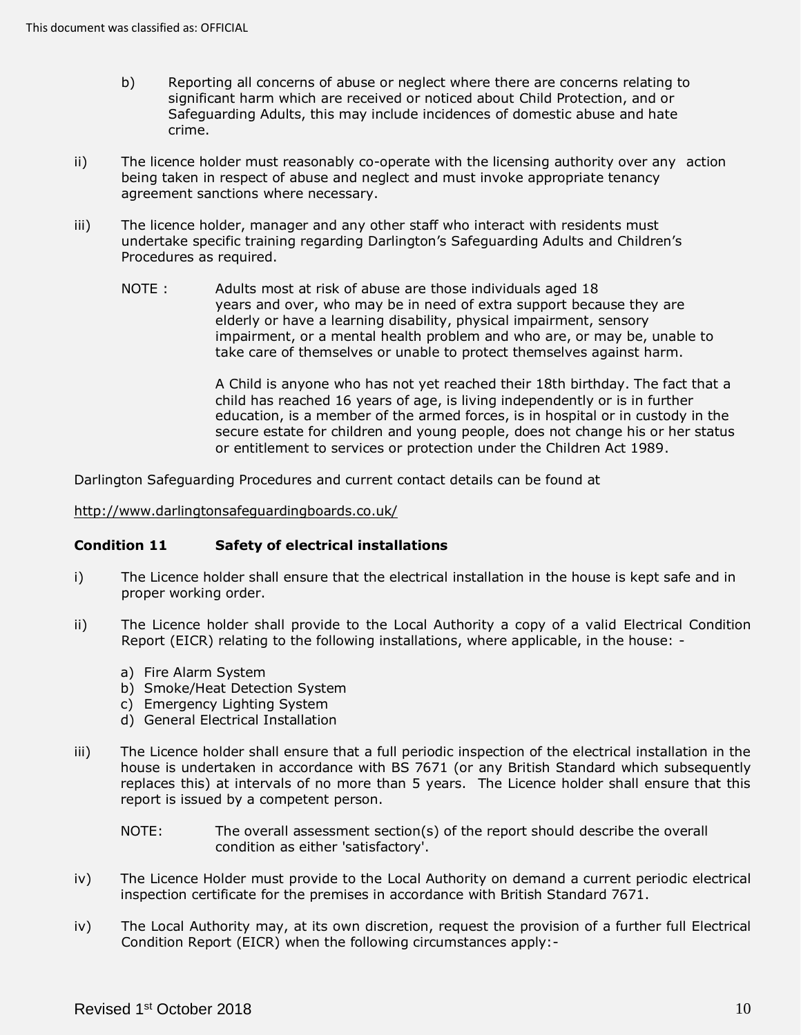- b) Reporting all concerns of abuse or neglect where there are concerns relating to significant harm which are received or noticed about Child Protection, and or Safeguarding Adults, this may include incidences of domestic abuse and hate crime.
- $\mathsf{ii}$ ) being taken in respect of abuse and neglect and must invoke appropriate tenancy The licence holder must reasonably co-operate with the licensing authority over any action agreement sanctions where necessary.
- iii) The licence holder, manager and any other staff who interact with residents must undertake specific training regarding Darlington's Safeguarding Adults and Children's Procedures as required.
	- NOTE: years and over, who may be in need of extra support because they are elderly or have a learning disability, physical impairment, sensory impairment, or a mental health problem and who are, or may be, unable to take care of themselves or unable to protect themselves against harm. Adults most at risk of abuse are those individuals aged 18

 A Child is anyone who has not yet reached their 18th birthday. The fact that a child has reached 16 years of age, is living independently or is in further education, is a member of the armed forces, is in hospital or in custody in the secure estate for children and young people, does not change his or her status or entitlement to services or protection under the Children Act 1989.

Darlington Safeguarding Procedures and current contact details can be found at

<http://www.darlingtonsafeguardingboards.co.uk/>

## <span id="page-9-0"></span> **Condition 11 Safety of electrical installations**

- i) The Licence holder shall ensure that the electrical installation in the house is kept safe and in proper working order.
- ii) The Licence holder shall provide to the Local Authority a copy of a valid Electrical Condition Report (EICR) relating to the following installations, where applicable, in the house:
	- a) Fire Alarm System
	- b) Smoke/Heat Detection System
	- c) Emergency Lighting System
	- d) General Electrical Installation
- iii) The Licence holder shall ensure that a full periodic inspection of the electrical installation in the house is undertaken in accordance with BS 7671 (or any British Standard which subsequently replaces this) at intervals of no more than 5 years. The Licence holder shall ensure that this report is issued by a competent person.
	- NOTE: The overall assessment section(s) of the report should describe the overall condition as either 'satisfactory'.
- iv) The Licence Holder must provide to the Local Authority on demand a current periodic electrical inspection certificate for the premises in accordance with British Standard 7671.
- iv) The Local Authority may, at its own discretion, request the provision of a further full Electrical Condition Report (EICR) when the following circumstances apply:-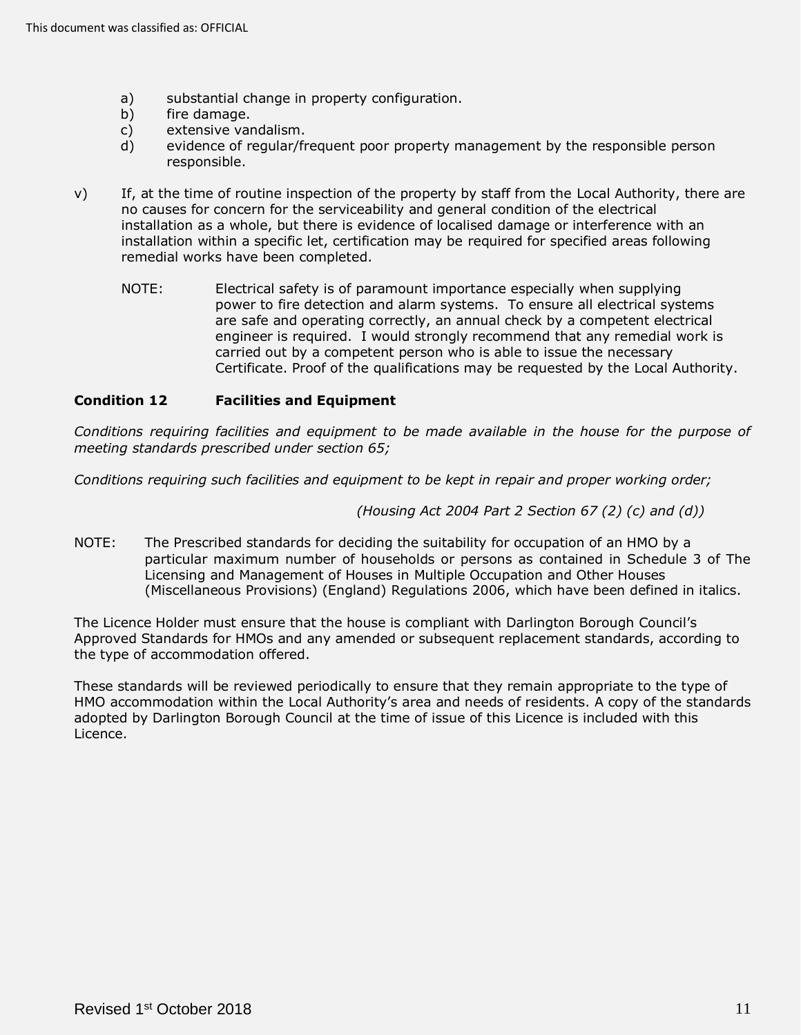- a) substantial change in property configuration.
- b) fire damage.
- c) extensive vandalism.
- d) evidence of regular/frequent poor property management by the responsible person responsible.
- v) If, at the time of routine inspection of the property by staff from the Local Authority, there are no causes for concern for the serviceability and general condition of the electrical installation as a whole, but there is evidence of localised damage or interference with an installation within a specific let, certification may be required for specified areas following remedial works have been completed.
	- NOTE: Electrical safety is of paramount importance especially when supplying power to fire detection and alarm systems. To ensure all electrical systems are safe and operating correctly, an annual check by a competent electrical engineer is required. I would strongly recommend that any remedial work is carried out by a competent person who is able to issue the necessary Certificate. Proof of the qualifications may be requested by the Local Authority.

# <span id="page-10-0"></span> **Condition 12 Facilities and Equipment**

 *Conditions requiring facilities and equipment to be made available in the house for the purpose of meeting standards prescribed under section 65;* 

 *Conditions requiring such facilities and equipment to be kept in repair and proper working order;* 

 *(Housing Act 2004 Part 2 Section 67 (2) (c) and (d))* 

 NOTE: The Prescribed standards for deciding the suitability for occupation of an HMO by a particular maximum number of households or persons as contained in Schedule 3 of The Licensing and Management of Houses in Multiple Occupation and Other Houses (Miscellaneous Provisions) (England) Regulations 2006, which have been defined in italics.

 The Licence Holder must ensure that the house is compliant with Darlington Borough Council's Approved Standards for HMOs and any amended or subsequent replacement standards, according to the type of accommodation offered.

 These standards will be reviewed periodically to ensure that they remain appropriate to the type of HMO accommodation within the Local Authority's area and needs of residents. A copy of the standards adopted by Darlington Borough Council at the time of issue of this Licence is included with this Licence.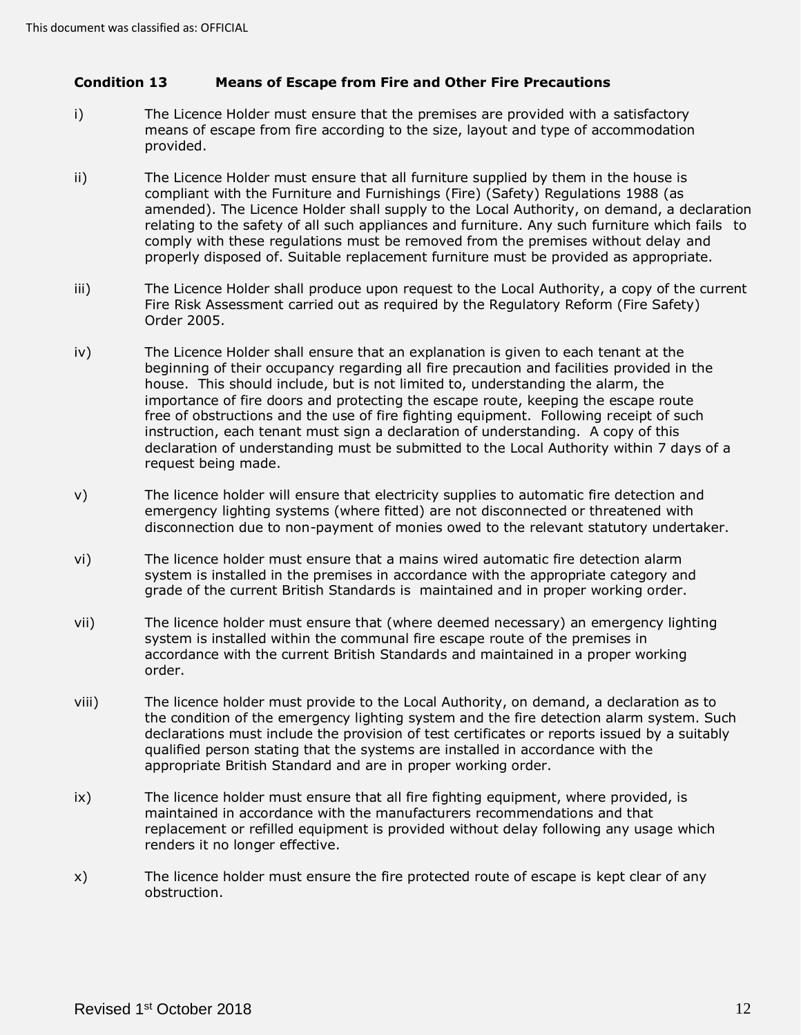# <span id="page-11-0"></span> **Condition 13 Means of Escape from Fire and Other Fire Precautions**

- i) The Licence Holder must ensure that the premises are provided with a satisfactory means of escape from fire according to the size, layout and type of accommodation provided.
- ii) The Licence Holder must ensure that all furniture supplied by them in the house is compliant with the Furniture and Furnishings (Fire) (Safety) Regulations 1988 (as amended). The Licence Holder shall supply to the Local Authority, on demand, a declaration relating to the safety of all such appliances and furniture. Any such furniture which fails to comply with these regulations must be removed from the premises without delay and properly disposed of. Suitable replacement furniture must be provided as appropriate.
- iii) The Licence Holder shall produce upon request to the Local Authority, a copy of the current Fire Risk Assessment carried out as required by the Regulatory Reform (Fire Safety) Order 2005.
- iv) The Licence Holder shall ensure that an explanation is given to each tenant at the beginning of their occupancy regarding all fire precaution and facilities provided in the house. This should include, but is not limited to, understanding the alarm, the importance of fire doors and protecting the escape route, keeping the escape route free of obstructions and the use of fire fighting equipment. Following receipt of such instruction, each tenant must sign a declaration of understanding. A copy of this declaration of understanding must be submitted to the Local Authority within 7 days of a request being made.
- v) The licence holder will ensure that electricity supplies to automatic fire detection and emergency lighting systems (where fitted) are not disconnected or threatened with disconnection due to non-payment of monies owed to the relevant statutory undertaker.
- vi) The licence holder must ensure that a mains wired automatic fire detection alarm system is installed in the premises in accordance with the appropriate category and grade of the current British Standards is maintained and in proper working order.
- vii) The licence holder must ensure that (where deemed necessary) an emergency lighting system is installed within the communal fire escape route of the premises in accordance with the current British Standards and maintained in a proper working order.
- viii) The licence holder must provide to the Local Authority, on demand, a declaration as to the condition of the emergency lighting system and the fire detection alarm system. Such declarations must include the provision of test certificates or reports issued by a suitably qualified person stating that the systems are installed in accordance with the appropriate British Standard and are in proper working order.
- ix) The licence holder must ensure that all fire fighting equipment, where provided, is maintained in accordance with the manufacturers recommendations and that replacement or refilled equipment is provided without delay following any usage which renders it no longer effective.
- x) The licence holder must ensure the fire protected route of escape is kept clear of any obstruction.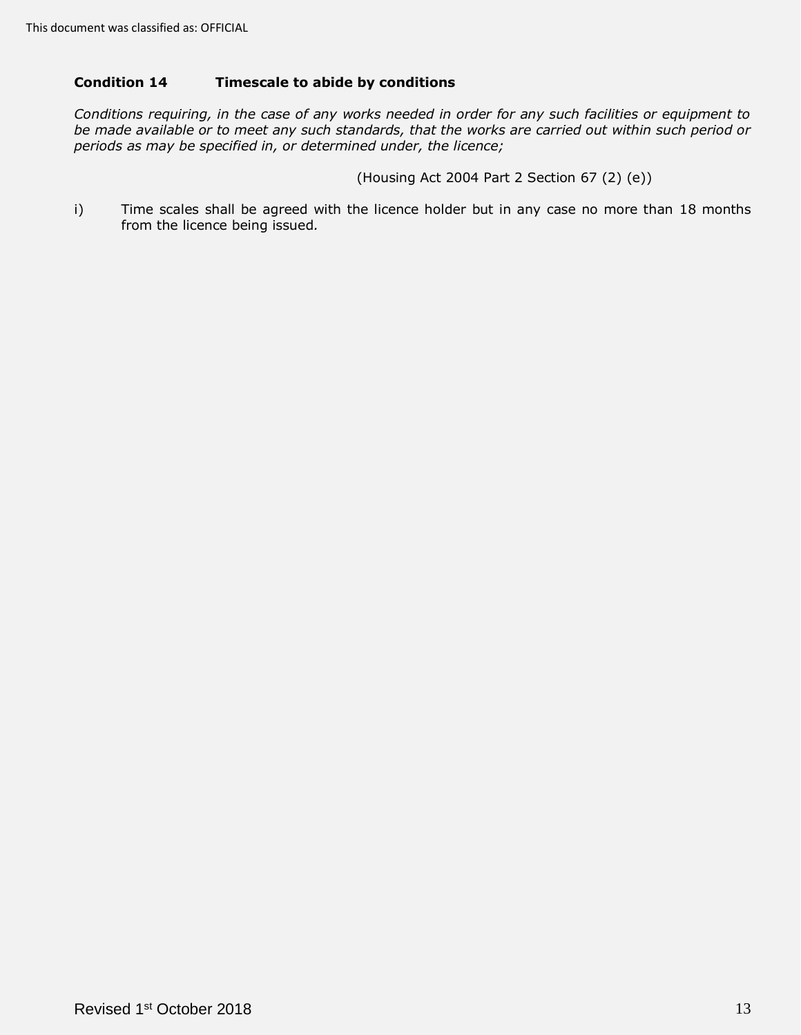# <span id="page-12-0"></span> **Condition 14 Timescale to abide by conditions**

 *Conditions requiring, in the case of any works needed in order for any such facilities or equipment to be made available or to meet any such standards, that the works are carried out within such period or periods as may be specified in, or determined under, the licence;* 

(Housing Act 2004 Part 2 Section 67 (2) (e))

 i) Time scales shall be agreed with the licence holder but in any case no more than 18 months from the licence being issued*.*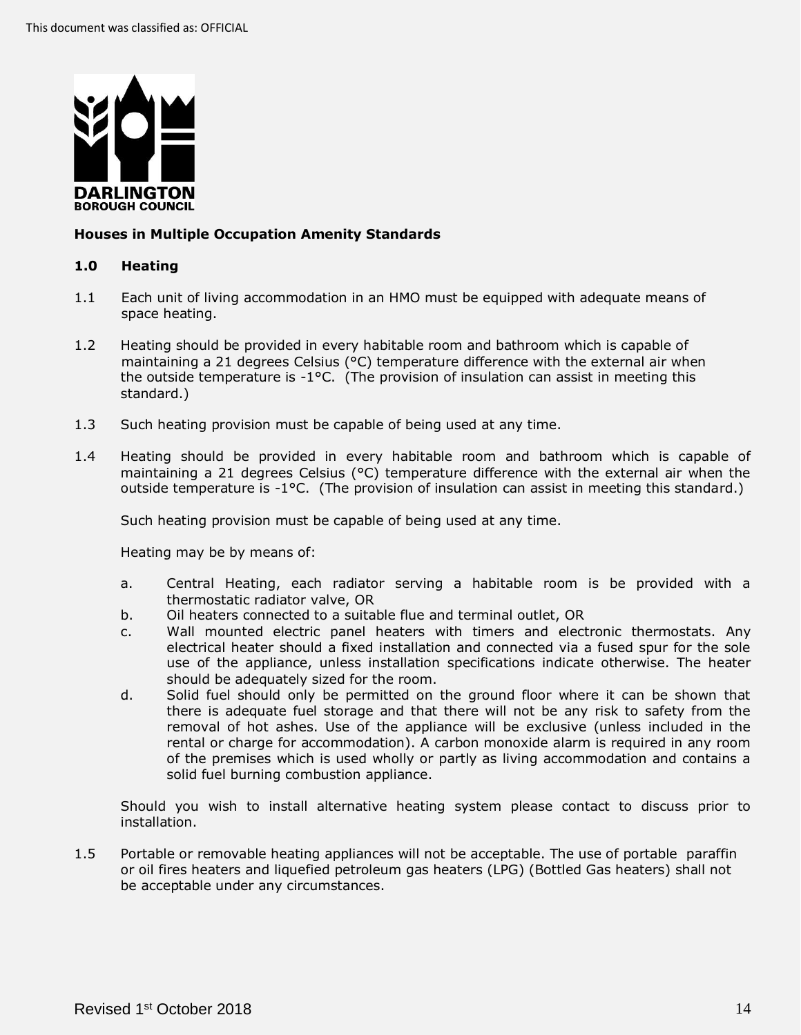

# <span id="page-13-0"></span>**Houses in Multiple Occupation Amenity Standards**

## <span id="page-13-1"></span>**1.0 Heating**

- 1.1 Each unit of living accommodation in an HMO must be equipped with adequate means of space heating.
- 1.2 Heating should be provided in every habitable room and bathroom which is capable of maintaining a 21 degrees Celsius (°C) temperature difference with the external air when the outside temperature is  $-1$ °C. (The provision of insulation can assist in meeting this standard.)
- 1.3 Such heating provision must be capable of being used at any time.
- 1.4 Heating should be provided in every habitable room and bathroom which is capable of maintaining a 21 degrees Celsius (°C) temperature difference with the external air when the outside temperature is -1°C. (The provision of insulation can assist in meeting this standard.)

Such heating provision must be capable of being used at any time.

Heating may be by means of:

- a. Central Heating, each radiator serving a habitable room is be provided with a thermostatic radiator valve, OR
- b. Oil heaters connected to a suitable flue and terminal outlet, OR
- c. Wall mounted electric panel heaters with timers and electronic thermostats. Any electrical heater should a fixed installation and connected via a fused spur for the sole use of the appliance, unless installation specifications indicate otherwise. The heater should be adequately sized for the room.
- d. Solid fuel should only be permitted on the ground floor where it can be shown that there is adequate fuel storage and that there will not be any risk to safety from the removal of hot ashes. Use of the appliance will be exclusive (unless included in the rental or charge for accommodation). A carbon monoxide alarm is required in any room of the premises which is used wholly or partly as living accommodation and contains a solid fuel burning combustion appliance.

 Should you wish to install alternative heating system please contact to discuss prior to installation.

 1.5 Portable or removable heating appliances will not be acceptable. The use of portable paraffin or oil fires heaters and liquefied petroleum gas heaters (LPG) (Bottled Gas heaters) shall not be acceptable under any circumstances.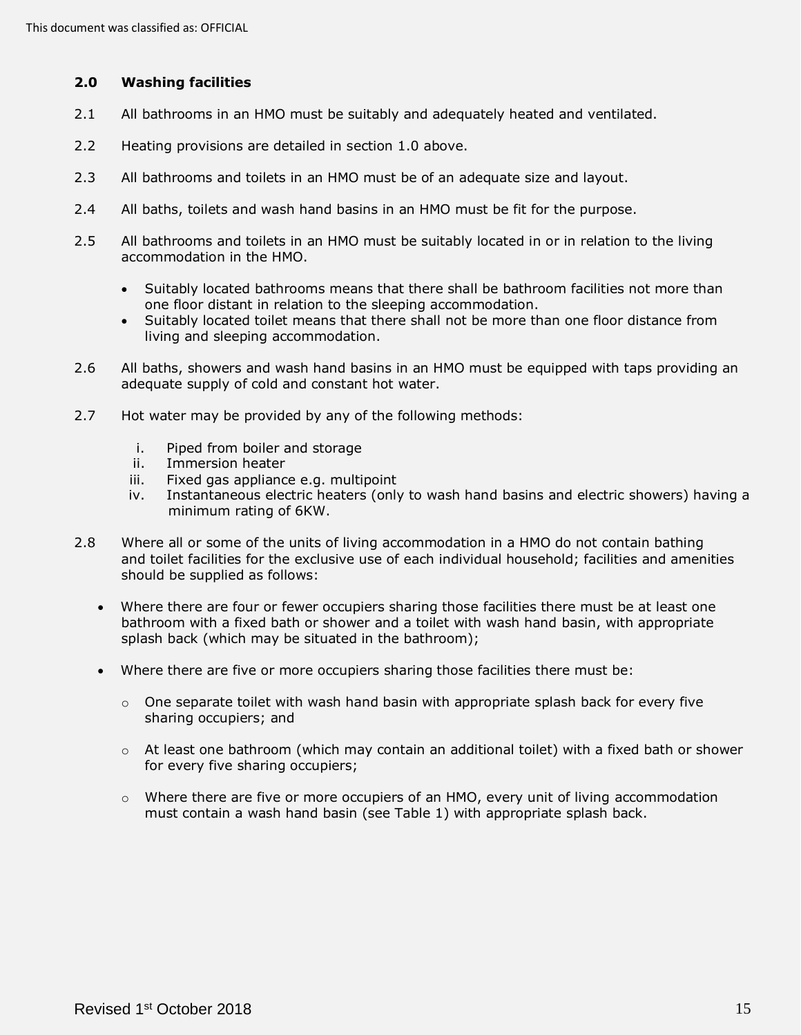# <span id="page-14-0"></span> **2.0 Washing facilities**

- 2.1 All bathrooms in an HMO must be suitably and adequately heated and ventilated.
- 2.2 Heating provisions are detailed in section 1.0 above.
- 2.3 All bathrooms and toilets in an HMO must be of an adequate size and layout.
- 2.4 All baths, toilets and wash hand basins in an HMO must be fit for the purpose.
- 2.5 All bathrooms and toilets in an HMO must be suitably located in or in relation to the living accommodation in the HMO.
	- • Suitably located bathrooms means that there shall be bathroom facilities not more than one floor distant in relation to the sleeping accommodation.
	- • Suitably located toilet means that there shall not be more than one floor distance from living and sleeping accommodation.
- 2.6 All baths, showers and wash hand basins in an HMO must be equipped with taps providing an adequate supply of cold and constant hot water.
- 2.7 Hot water may be provided by any of the following methods:
	- i. Piped from boiler and storage
	- ii. Immersion heater
	- iii. Fixed gas appliance e.g. multipoint
	- iv. Instantaneous electric heaters (only to wash hand basins and electric showers) having a minimum rating of 6KW.
- 2.8 Where all or some of the units of living accommodation in a HMO do not contain bathing and toilet facilities for the exclusive use of each individual household; facilities and amenities should be supplied as follows:
	- • Where there are four or fewer occupiers sharing those facilities there must be at least one bathroom with a fixed bath or shower and a toilet with wash hand basin, with appropriate splash back (which may be situated in the bathroom);
	- • Where there are five or more occupiers sharing those facilities there must be:
		- $\circ$  One separate toilet with wash hand basin with appropriate splash back for every five sharing occupiers; and
		- $\circ$  At least one bathroom (which may contain an additional toilet) with a fixed bath or shower for every five sharing occupiers;
		- $\circ$  Where there are five or more occupiers of an HMO, every unit of living accommodation must contain a wash hand basin (see Table 1) with appropriate splash back.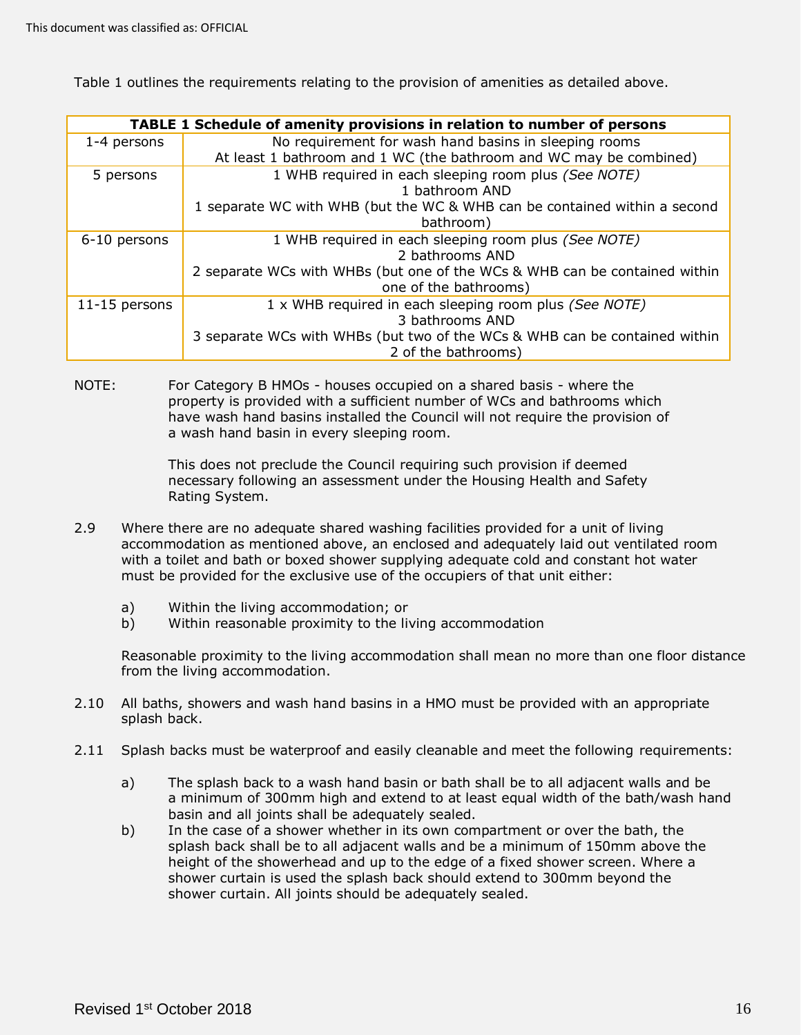Table 1 outlines the requirements relating to the provision of amenities as detailed above.

| <b>TABLE 1 Schedule of amenity provisions in relation to number of persons</b> |                                                                            |  |
|--------------------------------------------------------------------------------|----------------------------------------------------------------------------|--|
| 1-4 persons                                                                    | No requirement for wash hand basins in sleeping rooms                      |  |
|                                                                                | At least 1 bathroom and 1 WC (the bathroom and WC may be combined)         |  |
| 5 persons                                                                      | 1 WHB required in each sleeping room plus (See NOTE)                       |  |
|                                                                                | 1 bathroom AND                                                             |  |
|                                                                                | 1 separate WC with WHB (but the WC & WHB can be contained within a second  |  |
|                                                                                | bathroom)                                                                  |  |
| 6-10 persons                                                                   | 1 WHB required in each sleeping room plus (See NOTE)                       |  |
|                                                                                | 2 bathrooms AND                                                            |  |
|                                                                                | 2 separate WCs with WHBs (but one of the WCs & WHB can be contained within |  |
|                                                                                | one of the bathrooms)                                                      |  |
| 11-15 persons                                                                  | 1 x WHB required in each sleeping room plus (See NOTE)                     |  |
|                                                                                | 3 bathrooms AND                                                            |  |
|                                                                                | 3 separate WCs with WHBs (but two of the WCs & WHB can be contained within |  |
|                                                                                | 2 of the bathrooms)                                                        |  |

 NOTE: For Category B HMOs - houses occupied on a shared basis - where the property is provided with a sufficient number of WCs and bathrooms which have wash hand basins installed the Council will not require the provision of a wash hand basin in every sleeping room.

> This does not preclude the Council requiring such provision if deemed necessary following an assessment under the Housing Health and Safety Rating System.

- 2.9 Where there are no adequate shared washing facilities provided for a unit of living accommodation as mentioned above, an enclosed and adequately laid out ventilated room with a toilet and bath or boxed shower supplying adequate cold and constant hot water must be provided for the exclusive use of the occupiers of that unit either:
	- a) Within the living accommodation; or
	- b) Within reasonable proximity to the living accommodation

 Reasonable proximity to the living accommodation shall mean no more than one floor distance from the living accommodation.

- 2.10 All baths, showers and wash hand basins in a HMO must be provided with an appropriate splash back.
- 2.11 Splash backs must be waterproof and easily cleanable and meet the following requirements:
	- a) The splash back to a wash hand basin or bath shall be to all adjacent walls and be a minimum of 300mm high and extend to at least equal width of the bath/wash hand basin and all joints shall be adequately sealed.
	- b) In the case of a shower whether in its own compartment or over the bath, the splash back shall be to all adjacent walls and be a minimum of 150mm above the height of the showerhead and up to the edge of a fixed shower screen. Where a shower curtain is used the splash back should extend to 300mm beyond the shower curtain. All joints should be adequately sealed.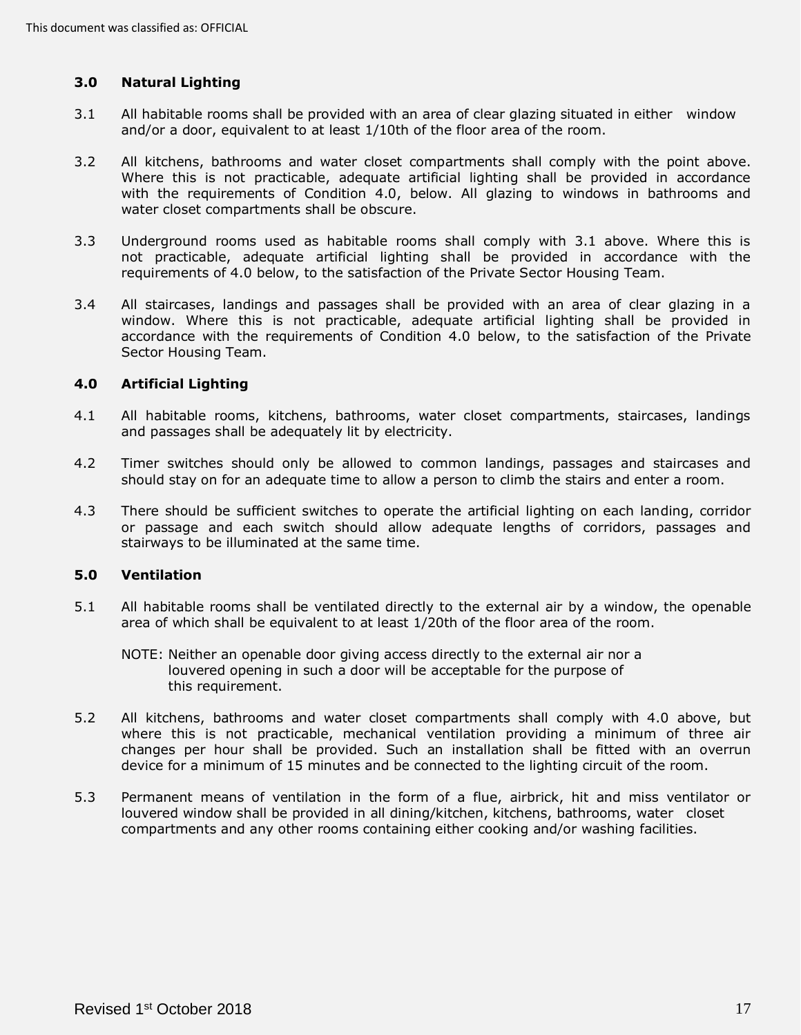# <span id="page-16-0"></span>**3.0 Natural Lighting**

- 3.1 All habitable rooms shall be provided with an area of clear glazing situated in either window and/or a door, equivalent to at least 1/10th of the floor area of the room.
- 3.2 All kitchens, bathrooms and water closet compartments shall comply with the point above. Where this is not practicable, adequate artificial lighting shall be provided in accordance with the requirements of Condition 4.0, below. All glazing to windows in bathrooms and water closet compartments shall be obscure.
- 3.3 Underground rooms used as habitable rooms shall comply with 3.1 above. Where this is not practicable, adequate artificial lighting shall be provided in accordance with the requirements of 4.0 below, to the satisfaction of the Private Sector Housing Team.
- 3.4 All staircases, landings and passages shall be provided with an area of clear glazing in a window. Where this is not practicable, adequate artificial lighting shall be provided in accordance with the requirements of Condition 4.0 below, to the satisfaction of the Private Sector Housing Team.

## <span id="page-16-1"></span> **4.0 Artificial Lighting**

- 4.1 All habitable rooms, kitchens, bathrooms, water closet compartments, staircases, landings and passages shall be adequately lit by electricity.
- 4.2 Timer switches should only be allowed to common landings, passages and staircases and should stay on for an adequate time to allow a person to climb the stairs and enter a room.
- 4.3 There should be sufficient switches to operate the artificial lighting on each landing, corridor or passage and each switch should allow adequate lengths of corridors, passages and stairways to be illuminated at the same time.

### <span id="page-16-2"></span>**5.0 Ventilation**

- 5.1 All habitable rooms shall be ventilated directly to the external air by a window, the openable area of which shall be equivalent to at least 1/20th of the floor area of the room.
	- NOTE: Neither an openable door giving access directly to the external air nor a louvered opening in such a door will be acceptable for the purpose of this requirement.
- 5.2 All kitchens, bathrooms and water closet compartments shall comply with 4.0 above, but where this is not practicable, mechanical ventilation providing a minimum of three air changes per hour shall be provided. Such an installation shall be fitted with an overrun device for a minimum of 15 minutes and be connected to the lighting circuit of the room.
- 5.3 Permanent means of ventilation in the form of a flue, airbrick, hit and miss ventilator or louvered window shall be provided in all dining/kitchen, kitchens, bathrooms, water closet compartments and any other rooms containing either cooking and/or washing facilities.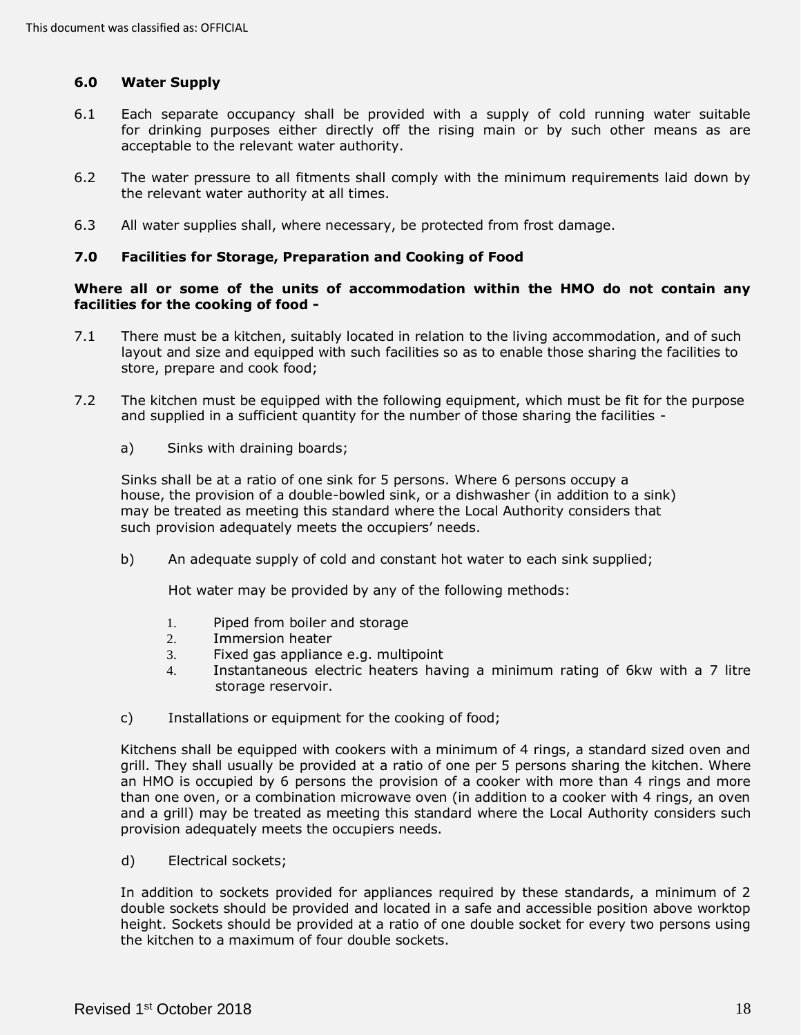# <span id="page-17-0"></span>**6.0 Water Supply**

- 6.1 Each separate occupancy shall be provided with a supply of cold running water suitable for drinking purposes either directly off the rising main or by such other means as are acceptable to the relevant water authority.
- 6.2 The water pressure to all fitments shall comply with the minimum requirements laid down by the relevant water authority at all times.
- 6.3 All water supplies shall, where necessary, be protected from frost damage.

### <span id="page-17-1"></span> **7.0 Facilities for Storage, Preparation and Cooking of Food**

### **Where all or some of the units of accommodation within the HMO do not contain any facilities for the cooking of food -**

- 7.1 There must be a kitchen, suitably located in relation to the living accommodation, and of such layout and size and equipped with such facilities so as to enable those sharing the facilities to store, prepare and cook food;
- 7.2 The kitchen must be equipped with the following equipment, which must be fit for the purpose and supplied in a sufficient quantity for the number of those sharing the facilities -
	- a) Sinks with draining boards;

 Sinks shall be at a ratio of one sink for 5 persons. Where 6 persons occupy a house, the provision of a double-bowled sink, or a dishwasher (in addition to a sink) may be treated as meeting this standard where the Local Authority considers that such provision adequately meets the occupiers' needs.

b) An adequate supply of cold and constant hot water to each sink supplied;

Hot water may be provided by any of the following methods:

- 1. Piped from boiler and storage
- 2. Immersion heater
- 3. Fixed gas appliance e.g. multipoint
- 4. Instantaneous electric heaters having a minimum rating of 6kw with a 7 litre storage reservoir.
- c) Installations or equipment for the cooking of food;

 Kitchens shall be equipped with cookers with a minimum of 4 rings, a standard sized oven and grill. They shall usually be provided at a ratio of one per 5 persons sharing the kitchen. Where an HMO is occupied by 6 persons the provision of a cooker with more than 4 rings and more than one oven, or a combination microwave oven (in addition to a cooker with 4 rings, an oven and a grill) may be treated as meeting this standard where the Local Authority considers such provision adequately meets the occupiers needs.

d) Electrical sockets;

 In addition to sockets provided for appliances required by these standards, a minimum of 2 double sockets should be provided and located in a safe and accessible position above worktop height. Sockets should be provided at a ratio of one double socket for every two persons using the kitchen to a maximum of four double sockets.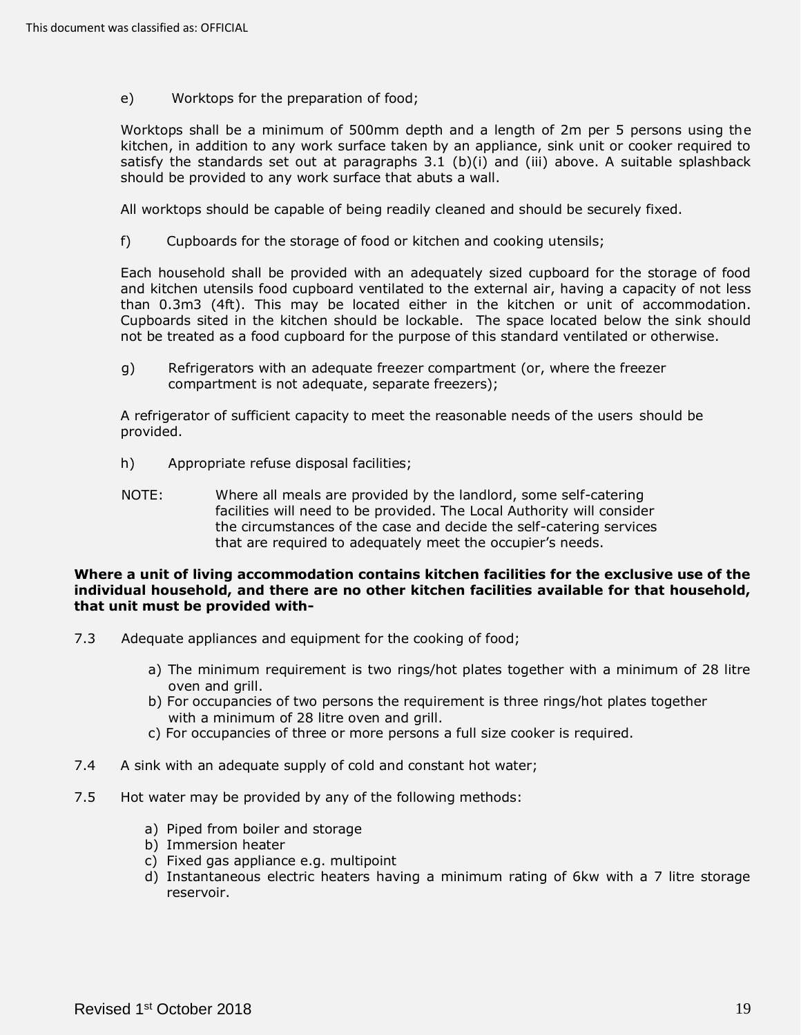e) Worktops for the preparation of food;

 Worktops shall be a minimum of 500mm depth and a length of 2m per 5 persons using the kitchen, in addition to any work surface taken by an appliance, sink unit or cooker required to satisfy the standards set out at paragraphs 3.1 (b)(i) and (iii) above. A suitable splashback should be provided to any work surface that abuts a wall.

All worktops should be capable of being readily cleaned and should be securely fixed.

f) Cupboards for the storage of food or kitchen and cooking utensils;

 Each household shall be provided with an adequately sized cupboard for the storage of food and kitchen utensils food cupboard ventilated to the external air, having a capacity of not less than 0.3m3 (4ft). This may be located either in the kitchen or unit of accommodation. Cupboards sited in the kitchen should be lockable. The space located below the sink should not be treated as a food cupboard for the purpose of this standard ventilated or otherwise.

 g) Refrigerators with an adequate freezer compartment (or, where the freezer compartment is not adequate, separate freezers);

 A refrigerator of sufficient capacity to meet the reasonable needs of the users should be provided.

- h) Appropriate refuse disposal facilities;
- NOTE: Where all meals are provided by the landlord, some self-catering facilities will need to be provided. The Local Authority will consider the circumstances of the case and decide the self-catering services that are required to adequately meet the occupier's needs.

### **Where a unit of living accommodation contains kitchen facilities for the exclusive use of the individual household, and there are no other kitchen facilities available for that household, that unit must be provided with-**

- 7.3 Adequate appliances and equipment for the cooking of food;
	- a) The minimum requirement is two rings/hot plates together with a minimum of 28 litre oven and grill.
	- b) For occupancies of two persons the requirement is three rings/hot plates together with a minimum of 28 litre oven and grill.
	- c) For occupancies of three or more persons a full size cooker is required.
- 7.4 A sink with an adequate supply of cold and constant hot water;
- 7.5 Hot water may be provided by any of the following methods:
	- a) Piped from boiler and storage
	- b) Immersion heater
	- c) Fixed gas appliance e.g. multipoint
	- d) Instantaneous electric heaters having a minimum rating of 6kw with a 7 litre storage reservoir.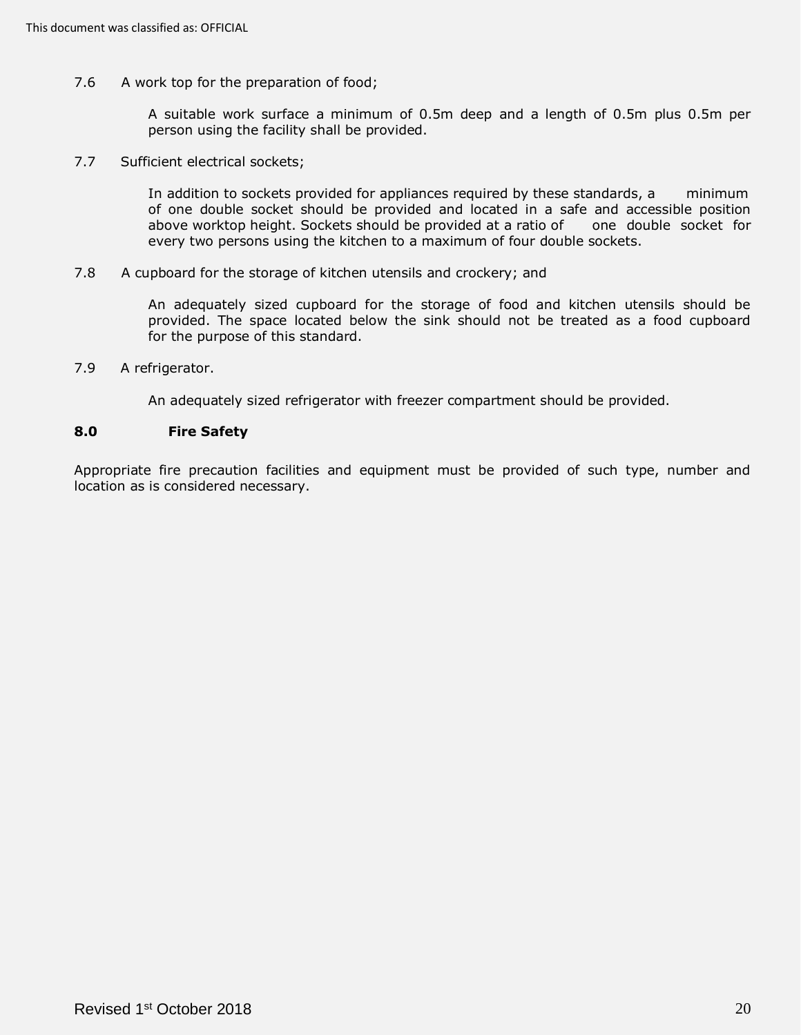7.6 A work top for the preparation of food;

 A suitable work surface a minimum of 0.5m deep and a length of 0.5m plus 0.5m per person using the facility shall be provided.

7.7 Sufficient electrical sockets;

 In addition to sockets provided for appliances required by these standards, a minimum of one double socket should be provided and located in a safe and accessible position above worktop height. Sockets should be provided at a ratio of one double socket for every two persons using the kitchen to a maximum of four double sockets.

7.8 A cupboard for the storage of kitchen utensils and crockery; and

 An adequately sized cupboard for the storage of food and kitchen utensils should be provided. The space located below the sink should not be treated as a food cupboard for the purpose of this standard.

7.9 A refrigerator.

An adequately sized refrigerator with freezer compartment should be provided.

### <span id="page-19-0"></span>**8.0 Fire Safety**

 Appropriate fire precaution facilities and equipment must be provided of such type, number and location as is considered necessary.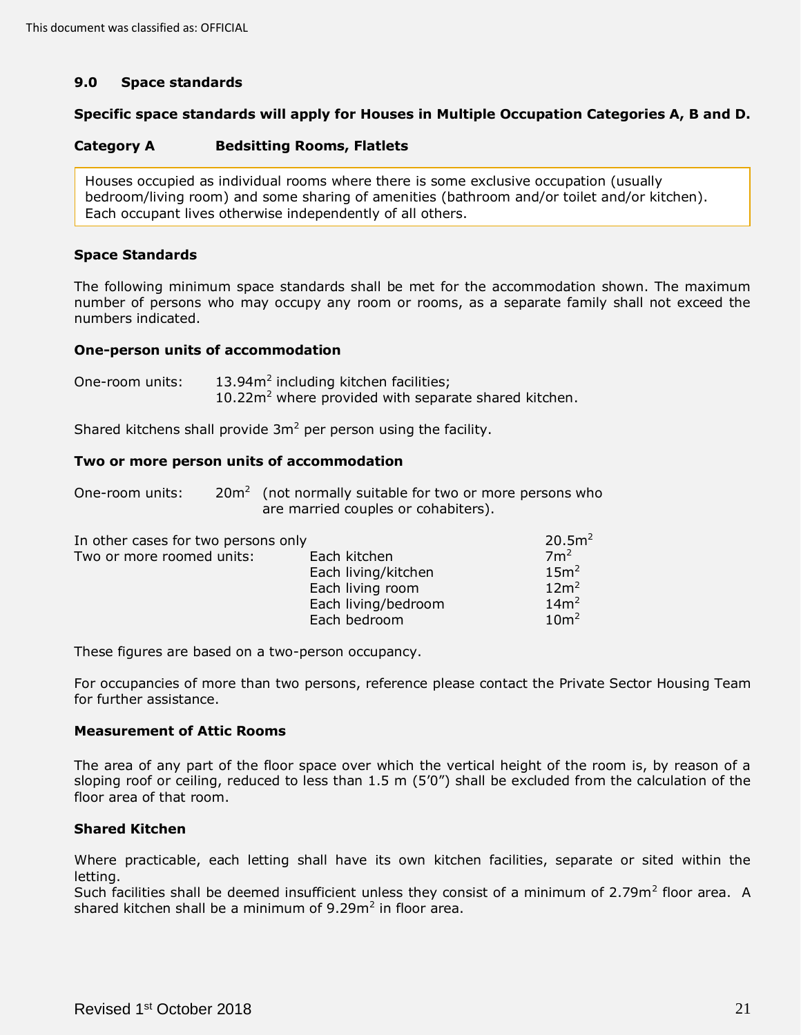## <span id="page-20-0"></span>**9.0 Space standards**

## **Specific space standards will apply for Houses in Multiple Occupation Categories A, B and D.**

#### **Category A Bedsitting Rooms, Flatlets**

 Houses occupied as individual rooms where there is some exclusive occupation (usually bedroom/living room) and some sharing of amenities (bathroom and/or toilet and/or kitchen). Each occupant lives otherwise independently of all others.

# **Space Standards**

 The following minimum space standards shall be met for the accommodation shown. The maximum number of persons who may occupy any room or rooms, as a separate family shall not exceed the numbers indicated.

### **One-person units of accommodation**

One-room units:  $13.94m^2$  including kitchen facilities;  $10.22m<sup>2</sup>$  where provided with separate shared kitchen.

Shared kitchens shall provide  $3m^2$  per person using the facility.

### **Two or more person units of accommodation**

| One-room units: | $20m2$ (not normally suitable for two or more persons who |
|-----------------|-----------------------------------------------------------|
|                 | are married couples or cohabiters).                       |

| In other cases for two persons only |                     | 20.5m <sup>2</sup> |
|-------------------------------------|---------------------|--------------------|
| Two or more roomed units:           | Each kitchen        | 7 <sup>2</sup>     |
|                                     | Each living/kitchen | 15m <sup>2</sup>   |
|                                     | Each living room    | 12m <sup>2</sup>   |
|                                     | Each living/bedroom | 14m <sup>2</sup>   |
|                                     | Each bedroom        | 10 <sup>m²</sup>   |

These figures are based on a two-person occupancy.

 For occupancies of more than two persons, reference please contact the Private Sector Housing Team for further assistance.

## **Measurement of Attic Rooms**

 The area of any part of the floor space over which the vertical height of the room is, by reason of a sloping roof or ceiling, reduced to less than 1.5 m (5'0") shall be excluded from the calculation of the floor area of that room.

## **Shared Kitchen**

 Where practicable, each letting shall have its own kitchen facilities, separate or sited within the letting.

Such facilities shall be deemed insufficient unless they consist of a minimum of 2.79m<sup>2</sup> floor area. A shared kitchen shall be a minimum of  $9.29m<sup>2</sup>$  in floor area.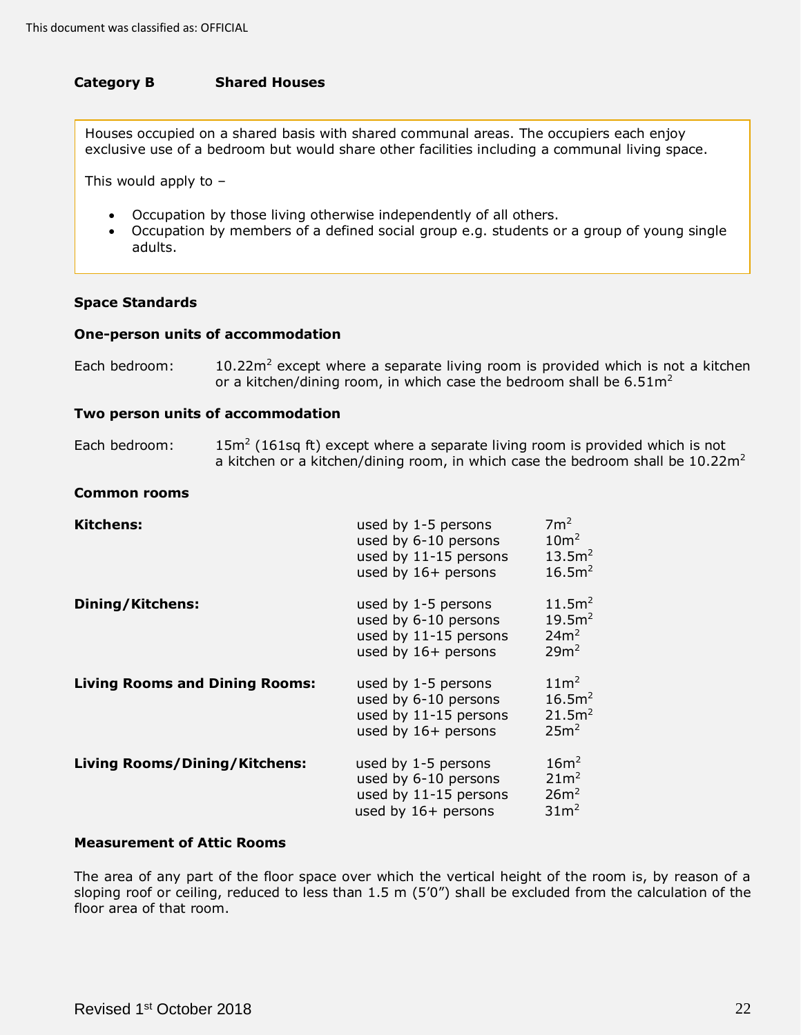#### **Category B Shared Houses**

 Houses occupied on a shared basis with shared communal areas. The occupiers each enjoy exclusive use of a bedroom but would share other facilities including a communal living space.

This would apply to –

- Occupation by those living otherwise independently of all others.
- • Occupation by members of a defined social group e.g. students or a group of young single adults.

### **Space Standards**

### **One-person units of accommodation**

| Each bedroom: | $10.22$ m <sup>2</sup> except where a separate living room is provided which is not a kitchen |
|---------------|-----------------------------------------------------------------------------------------------|
|               | or a kitchen/dining room, in which case the bedroom shall be $6.51m^2$                        |

### **Two person units of accommodation**

| Each bedroom: | $15m²$ (161sq ft) except where a separate living room is provided which is not             |
|---------------|--------------------------------------------------------------------------------------------|
|               | a kitchen or a kitchen/dining room, in which case the bedroom shall be 10.22m <sup>2</sup> |

### **Common rooms**

| <b>Kitchens:</b>                      | used by 1-5 persons<br>used by 6-10 persons<br>used by 11-15 persons<br>used by 16+ persons | 7m <sup>2</sup><br>10 <sup>m²</sup><br>13.5m <sup>2</sup><br>16.5m <sup>2</sup>  |
|---------------------------------------|---------------------------------------------------------------------------------------------|----------------------------------------------------------------------------------|
| Dining/Kitchens:                      | used by 1-5 persons<br>used by 6-10 persons<br>used by 11-15 persons<br>used by 16+ persons | 11.5m <sup>2</sup><br>19.5m <sup>2</sup><br>24m <sup>2</sup><br>29m <sup>2</sup> |
| <b>Living Rooms and Dining Rooms:</b> | used by 1-5 persons<br>used by 6-10 persons<br>used by 11-15 persons<br>used by 16+ persons | 11m <sup>2</sup><br>16.5m <sup>2</sup><br>21.5m <sup>2</sup><br>25m <sup>2</sup> |
| <b>Living Rooms/Dining/Kitchens:</b>  | used by 1-5 persons<br>used by 6-10 persons<br>used by 11-15 persons<br>used by 16+ persons | 16m <sup>2</sup><br>21m <sup>2</sup><br>26m <sup>2</sup><br>31 <sup>2</sup>      |

### **Measurement of Attic Rooms**

 The area of any part of the floor space over which the vertical height of the room is, by reason of a sloping roof or ceiling, reduced to less than 1.5 m (5'0") shall be excluded from the calculation of the floor area of that room.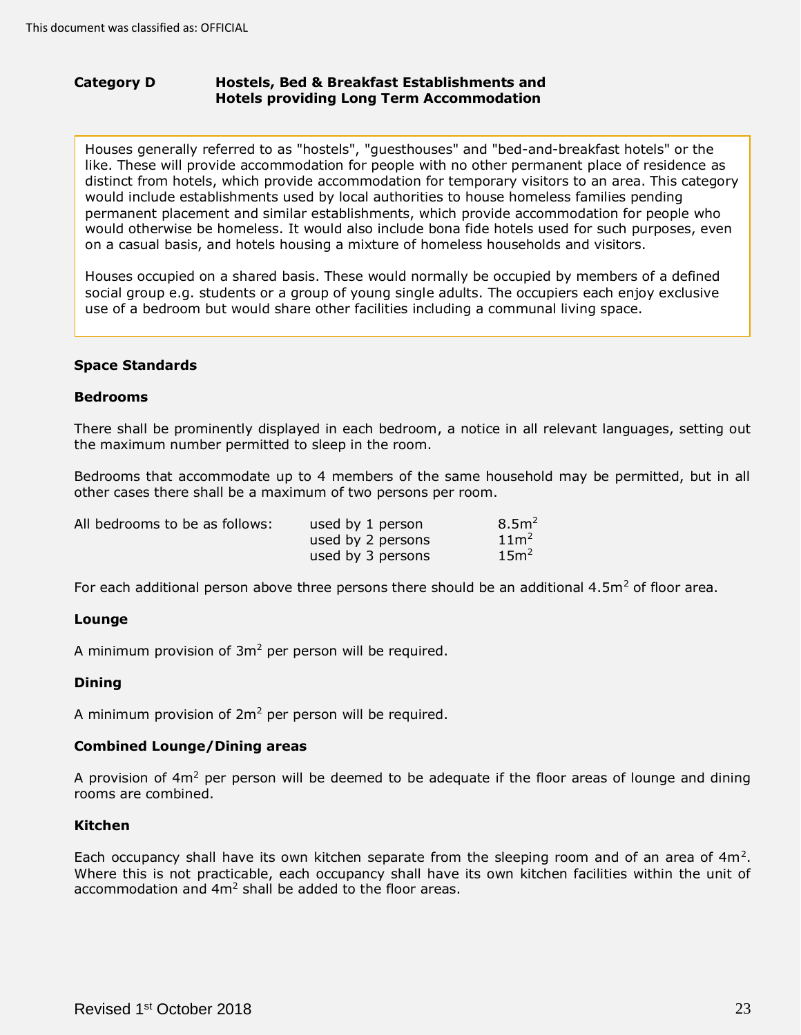### **Category D Hotels providing Long Term Accommodation Hostels, Bed & Breakfast Establishments and**

 Houses generally referred to as "hostels", "guesthouses" and "bed-and-breakfast hotels" or the like. These will provide accommodation for people with no other permanent place of residence as distinct from hotels, which provide accommodation for temporary visitors to an area. This category would include establishments used by local authorities to house homeless families pending permanent placement and similar establishments, which provide accommodation for people who would otherwise be homeless. It would also include bona fide hotels used for such purposes, even on a casual basis, and hotels housing a mixture of homeless households and visitors.

 Houses occupied on a shared basis. These would normally be occupied by members of a defined social group e.g. students or a group of young single adults. The occupiers each enjoy exclusive use of a bedroom but would share other facilities including a communal living space.

# **Space Standards**

### **Bedrooms**

 There shall be prominently displayed in each bedroom, a notice in all relevant languages, setting out the maximum number permitted to sleep in the room.

 Bedrooms that accommodate up to 4 members of the same household may be permitted, but in all other cases there shall be a maximum of two persons per room.

| All bedrooms to be as follows: | used by 1 person  | 8.5 <sup>2</sup> |
|--------------------------------|-------------------|------------------|
|                                | used by 2 persons | 11 <sup>2</sup>  |
|                                | used by 3 persons | 15m <sup>2</sup> |

For each additional person above three persons there should be an additional 4.5m<sup>2</sup> of floor area.

## **Lounge**

A minimum provision of  $3m^2$  per person will be required.

## **Dining**

A minimum provision of  $2m^2$  per person will be required.

## **Combined Lounge/Dining areas**

A provision of 4m<sup>2</sup> per person will be deemed to be adequate if the floor areas of lounge and dining rooms are combined.

# **Kitchen**

Each occupancy shall have its own kitchen separate from the sleeping room and of an area of  $4m^2$ . Where this is not practicable, each occupancy shall have its own kitchen facilities within the unit of accommodation and  $4m^2$  shall be added to the floor areas.